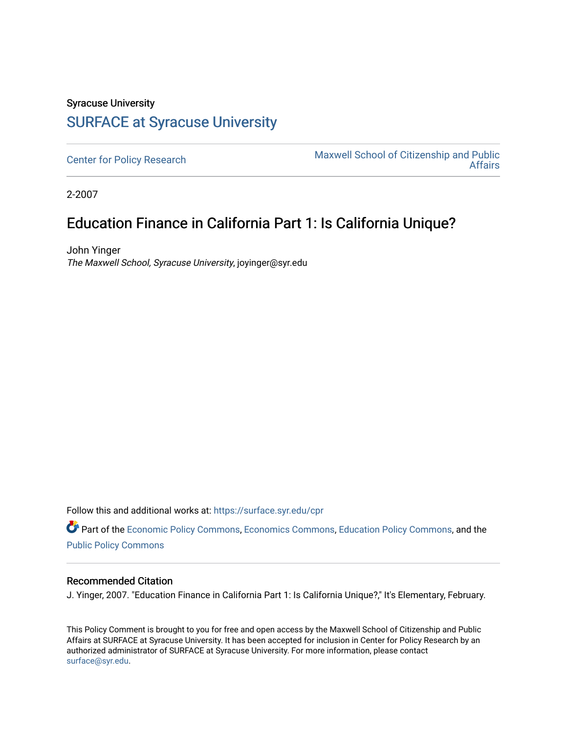## Syracuse University [SURFACE at Syracuse University](https://surface.syr.edu/)

[Center for Policy Research](https://surface.syr.edu/cpr) Maxwell School of Citizenship and Public [Affairs](https://surface.syr.edu/maxwell) 

2-2007

## Education Finance in California Part 1: Is California Unique?

John Yinger The Maxwell School, Syracuse University, joyinger@syr.edu

Follow this and additional works at: [https://surface.syr.edu/cpr](https://surface.syr.edu/cpr?utm_source=surface.syr.edu%2Fcpr%2F346&utm_medium=PDF&utm_campaign=PDFCoverPages) 

Part of the [Economic Policy Commons](http://network.bepress.com/hgg/discipline/1025?utm_source=surface.syr.edu%2Fcpr%2F346&utm_medium=PDF&utm_campaign=PDFCoverPages), [Economics Commons,](http://network.bepress.com/hgg/discipline/340?utm_source=surface.syr.edu%2Fcpr%2F346&utm_medium=PDF&utm_campaign=PDFCoverPages) [Education Policy Commons](http://network.bepress.com/hgg/discipline/1026?utm_source=surface.syr.edu%2Fcpr%2F346&utm_medium=PDF&utm_campaign=PDFCoverPages), and the [Public Policy Commons](http://network.bepress.com/hgg/discipline/400?utm_source=surface.syr.edu%2Fcpr%2F346&utm_medium=PDF&utm_campaign=PDFCoverPages)

## Recommended Citation

J. Yinger, 2007. "Education Finance in California Part 1: Is California Unique?," It's Elementary, February.

This Policy Comment is brought to you for free and open access by the Maxwell School of Citizenship and Public Affairs at SURFACE at Syracuse University. It has been accepted for inclusion in Center for Policy Research by an authorized administrator of SURFACE at Syracuse University. For more information, please contact [surface@syr.edu.](mailto:surface@syr.edu)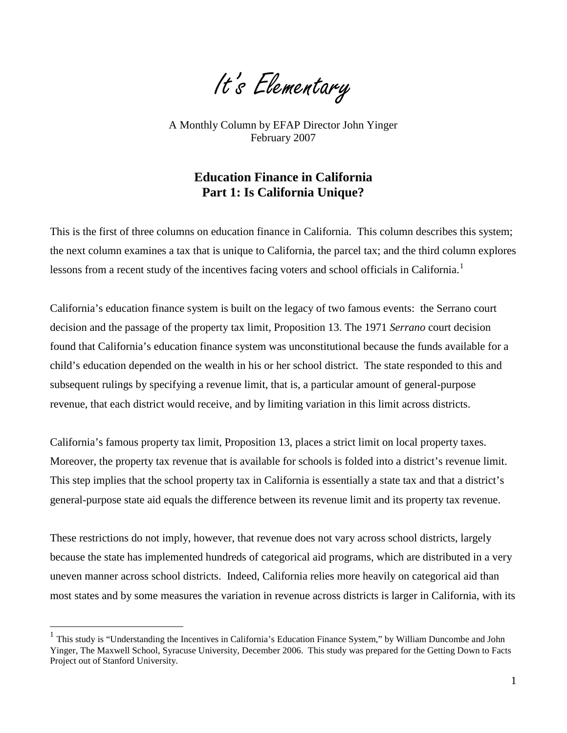It's Elementary

A Monthly Column by EFAP Director John Yinger February 2007

## **Education Finance in California Part 1: Is California Unique?**

This is the first of three columns on education finance in California. This column describes this system; the next column examines a tax that is unique to California, the parcel tax; and the third column explores lessons from a recent study of the incentives facing voters and school officials in California.<sup>[1](#page-1-0)</sup>

California's education finance system is built on the legacy of two famous events: the Serrano court decision and the passage of the property tax limit, Proposition 13. The 1971 *Serrano* court decision found that California's education finance system was unconstitutional because the funds available for a child's education depended on the wealth in his or her school district. The state responded to this and subsequent rulings by specifying a revenue limit, that is, a particular amount of general-purpose revenue, that each district would receive, and by limiting variation in this limit across districts.

California's famous property tax limit, Proposition 13, places a strict limit on local property taxes. Moreover, the property tax revenue that is available for schools is folded into a district's revenue limit. This step implies that the school property tax in California is essentially a state tax and that a district's general-purpose state aid equals the difference between its revenue limit and its property tax revenue.

These restrictions do not imply, however, that revenue does not vary across school districts, largely because the state has implemented hundreds of categorical aid programs, which are distributed in a very uneven manner across school districts. Indeed, California relies more heavily on categorical aid than most states and by some measures the variation in revenue across districts is larger in California, with its

 $\overline{a}$ 

<span id="page-1-1"></span><span id="page-1-0"></span> $<sup>1</sup>$  This study is "Understanding the Incentives in California's Education Finance System," by William Duncombe and John</sup> Yinger, The Maxwell School, Syracuse University, December 2006. This study was prepared for the Getting Down to Facts Project out of Stanford University.